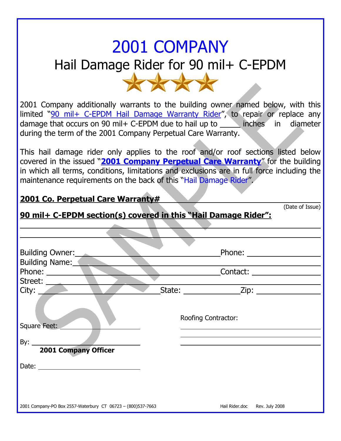## 2001 COMPANY Hail Damage Rider for 90 mil+ C-EPDM \*\*\*\*

2001 Company additionally warrants to the building owner named below, with this limited "90 mil+ C-EPDM Hail Damage Warranty Rider", to repair or replace any damage that occurs on 90 mil + C-EPDM due to hail up to inches in diameter during the term of the 2001 Company Perpetual Care Warranty.

This hail damage rider only applies to the roof and/or roof sections listed below covered in the issued "**2001 Company Perpetual Care Warranty**" for the building in which all terms, conditions, limitations and exclusions are in full force including the maintenance requirements on the back of this "Hail Damage Rider".

(Date of Issue)

## **2001 Co. Perpetual Care Warranty#**

| 90 mil+ C-EPDM section(s) covered in this "Hail Damage Rider": |                                                                                                                                                                                                                                |
|----------------------------------------------------------------|--------------------------------------------------------------------------------------------------------------------------------------------------------------------------------------------------------------------------------|
|                                                                |                                                                                                                                                                                                                                |
|                                                                |                                                                                                                                                                                                                                |
| Building Owner:                                                | Phone: and the contract of the contract of the contract of the contract of the contract of the contract of the contract of the contract of the contract of the contract of the contract of the contract of the contract of the |
| <b>Building Name:</b>                                          |                                                                                                                                                                                                                                |
| Phone:                                                         | Contact: <u>___________________</u>                                                                                                                                                                                            |
| Street:                                                        |                                                                                                                                                                                                                                |
| City:                                                          | $\text{State:}$ $\begin{array}{c c} \text{State:} & \text{Zip:} \end{array}$                                                                                                                                                   |
| Square Feet:                                                   | Roofing Contractor:                                                                                                                                                                                                            |
|                                                                |                                                                                                                                                                                                                                |
| <b>2001 Company Officer</b>                                    |                                                                                                                                                                                                                                |
|                                                                |                                                                                                                                                                                                                                |
|                                                                |                                                                                                                                                                                                                                |
|                                                                |                                                                                                                                                                                                                                |
|                                                                |                                                                                                                                                                                                                                |
| 2001 Company-PO Box 2557-Waterbury CT 06723 - (800)537-7663    | Hail Rider.doc Rev. July 2008                                                                                                                                                                                                  |